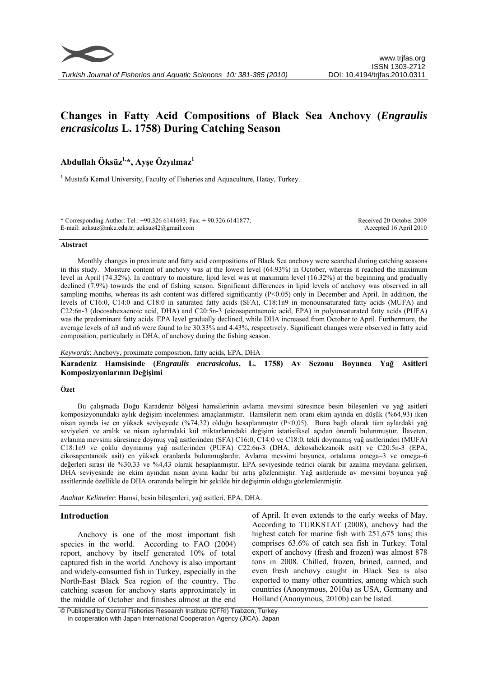

# **Changes in Fatty Acid Compositions of Black Sea Anchovy (***Engraulis encrasicolus* **L. 1758) During Catching Season**

## **Abdullah Öksüz1,\*, Ayşe Özyılmaz1**

<sup>1</sup> Mustafa Kemal University, Faculty of Fisheries and Aquaculture, Hatay, Turkey.

\* Corresponding Author: Tel.: +90.326 6141693; Fax: + 90.326 6141877; E-mail: aoksuz@mku.edu.tr; aoksuz42@gmail.com Received 20 October 2009 Accepted 16 April 2010

#### **Abstract**

Monthly changes in proximate and fatty acid compositions of Black Sea anchovy were searched during catching seasons in this study. Moisture content of anchovy was at the lowest level (64.93%) in October, whereas it reached the maximum level in April (74.32%). In contrary to moisture, lipid level was at maximum level (16.32%) at the beginning and gradually declined (7.9%) towards the end of fishing season. Significant differences in lipid levels of anchovy was observed in all sampling months, whereas its ash content was differed significantly (P<0.05) only in December and April. In addition, the levels of C16:0, C14:0 and C18:0 in saturated fatty acids (SFA), C18:1n9 in monounsaturated fatty acids (MUFA) and C22:6n-3 (docosahexaenoic acid, DHA) and C20:5n-3 (eicosapentaenoic acid, EPA) in polyunsaturated fatty acids (PUFA) was the predominant fatty acids. EPA level gradually declined, while DHA increased from October to April. Furthermore, the average levels of n3 and n6 were found to be 30.33% and 4.43%, respectively. Significant changes were observed in fatty acid composition, particularly in DHA, of anchovy during the fishing season.

## *Keywords*: Anchovy, proximate composition, fatty acids, EPA, DHA

**Karadeniz Hamsisinde (***Engraulis encrasicolus***, L. 1758) Av Sezonu Boyunca Yağ Asitleri Komposizyonlarının Değişimi** 

#### **Özet**

Bu çalışmada Doğu Karadeniz bölgesi hamsilerinin avlama mevsimi süresince besin bileşenleri ve yağ asitleri komposizyonundaki aylık değişim incelenmesi amaçlanmıştır. Hamsilerin nem oranı ekim ayında en düşük (%64,93) iken nisan ayında ise en yüksek seviyeyede (%74,32) olduğu hesaplanmıştır (P<0,05). Buna bağlı olarak tüm aylardaki yağ seviyeleri ve aralık ve nisan aylarındaki kül miktarlarındaki değişim istatistiksel açıdan önemli bulunmuştur. İlaveten, avlanma mevsimi süresince doymuş yağ asitlerinden (SFA) C16:0, C14:0 ve C18:0, tekli doymamış yağ asitlerinden (MUFA) C18:1n9 ve çoklu doymamış yağ asitlerinden (PUFA) C22:6n-3 (DHA, dekosahekzanoik asit) ve C20:5n-3 (EPA, eikosapentanoik asit) en yüksek oranlarda bulunmuşlardır. Avlama mevsimi boyunca, ortalama omega–3 ve omega–6 değerleri sırası ile %30,33 ve %4,43 olarak hesaplanmıştır. EPA seviyesinde tedrici olarak bir azalma meydana gelirken, DHA seviyesinde ise ekim ayından nisan ayına kadar bir artış gözlenmiştir. Yağ asitlerinde av mevsimi boyunca yağ assitlerinde özellikle de DHA oranında belirgin bir şekilde bir değişimin olduğu gözlemlenmiştir.

*Anahtar Kelimeler*: Hamsi, besin bileşenleri, yağ asitleri, EPA, DHA.

#### **Introduction**

Anchovy is one of the most important fish species in the world. According to FAO (2004) report, anchovy by itself generated 10% of total captured fish in the world. Anchovy is also important and widely-consumed fish in Turkey, especially in the North-East Black Sea region of the country. The catching season for anchovy starts approximately in the middle of October and finishes almost at the end

of April. It even extends to the early weeks of May. According to TURKSTAT (2008), anchovy had the highest catch for marine fish with 251,675 tons; this comprises 63.6% of catch sea fish in Turkey. Total export of anchovy (fresh and frozen) was almost 878 tons in 2008. Chilled, frozen, brined, canned, and even fresh anchovy caught in Black Sea is also exported to many other countries, among which such countries (Anonymous, 2010a) as USA, Germany and Holland (Anonymous, 2010b) can be listed.

 © Published by Central Fisheries Research Institute (CFRI) Trabzon, Turkey in cooperation with Japan International Cooperation Agency (JICA), Japan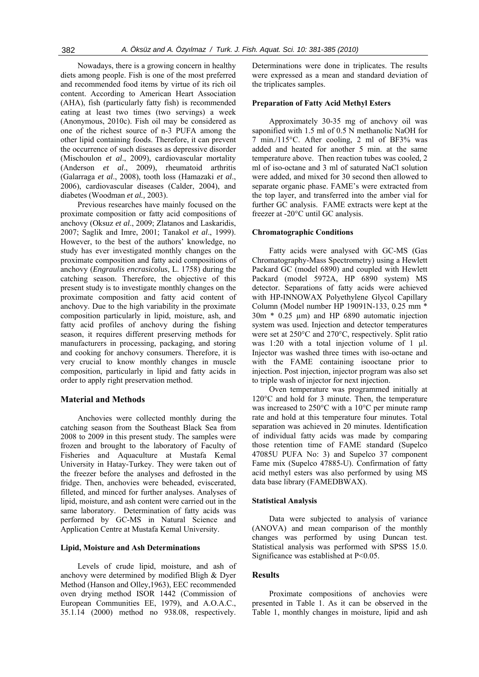Nowadays, there is a growing concern in healthy diets among people. Fish is one of the most preferred and recommended food items by virtue of its rich oil content. According to American Heart Association (AHA), fish (particularly fatty fish) is recommended eating at least two times (two servings) a week (Anonymous, 2010c). Fish oil may be considered as one of the richest source of n-3 PUFA among the other lipid containing foods. Therefore, it can prevent the occurrence of such diseases as depressive disorder (Mischoulon *et al*., 2009), cardiovascular mortality (Anderson *et al*., 2009), rheumatoid arthritis (Galarraga *et al*., 2008), tooth loss (Hamazaki *et al*., 2006), cardiovascular diseases (Calder, 2004), and diabetes (Woodman *et al.,* 2003).

Previous researches have mainly focused on the proximate composition or fatty acid compositions of anchovy (Oksuz *et al*., 2009; Zlatanos and Laskaridis, 2007; Saglik and Imre, 2001; Tanakol *et al*., 1999). However, to the best of the authors' knowledge, no study has ever investigated monthly changes on the proximate composition and fatty acid compositions of anchovy (*Engraulis encrasicolus*, L. 1758) during the catching season. Therefore, the objective of this present study is to investigate monthly changes on the proximate composition and fatty acid content of anchovy. Due to the high variability in the proximate composition particularly in lipid, moisture, ash, and fatty acid profiles of anchovy during the fishing season, it requires different preserving methods for manufacturers in processing, packaging, and storing and cooking for anchovy consumers. Therefore, it is very crucial to know monthly changes in muscle composition, particularly in lipid and fatty acids in order to apply right preservation method.

## **Material and Methods**

Anchovies were collected monthly during the catching season from the Southeast Black Sea from 2008 to 2009 in this present study. The samples were frozen and brought to the laboratory of Faculty of Fisheries and Aquaculture at Mustafa Kemal University in Hatay-Turkey. They were taken out of the freezer before the analyses and defrosted in the fridge. Then, anchovies were beheaded, eviscerated, filleted, and minced for further analyses. Analyses of lipid, moisture, and ash content were carried out in the same laboratory. Determination of fatty acids was performed by GC-MS in Natural Science and Application Centre at Mustafa Kemal University.

#### **Lipid, Moisture and Ash Determinations**

Levels of crude lipid, moisture, and ash of anchovy were determined by modified Bligh & Dyer Method (Hanson and Olley,1963), EEC recommended oven drying method ISOR 1442 (Commission of European Communities EE, 1979), and A.O.A.C., 35.1.14 (2000) method no 938.08, respectively.

Determinations were done in triplicates. The results were expressed as a mean and standard deviation of the triplicates samples.

## **Preparation of Fatty Acid Methyl Esters**

Approximately 30-35 mg of anchovy oil was saponified with 1.5 ml of 0.5 N methanolic NaOH for 7 min./115°C. After cooling, 2 ml of BF3% was added and heated for another 5 min. at the same temperature above. Then reaction tubes was cooled, 2 ml of iso-octane and 3 ml of saturated NaCl solution were added, and mixed for 30 second then allowed to separate organic phase. FAME's were extracted from the top layer, and transferred into the amber vial for further GC analysis. FAME extracts were kept at the freezer at -20°C until GC analysis.

## **Chromatographic Conditions**

Fatty acids were analysed with GC-MS (Gas Chromatography-Mass Spectrometry) using a Hewlett Packard GC (model 6890) and coupled with Hewlett Packard (model 5972A, HP 6890 system) MS detector. Separations of fatty acids were achieved with HP-INNOWAX Polyethylene Glycol Capillary Column (Model number HP 19091N-133, 0.25 mm \* 30m \* 0.25 µm) and HP 6890 automatic injection system was used. Injection and detector temperatures were set at 250°C and 270°C, respectively. Split ratio was 1:20 with a total injection volume of 1  $\mu$ l. Injector was washed three times with iso-octane and with the FAME containing isooctane prior to injection. Post injection, injector program was also set to triple wash of injector for next injection.

Oven temperature was programmed initially at 120°C and hold for 3 minute. Then, the temperature was increased to 250°C with a 10°C per minute ramp rate and hold at this temperature four minutes. Total separation was achieved in 20 minutes. Identification of individual fatty acids was made by comparing those retention time of FAME standard (Supelco 47085U PUFA No: 3) and Supelco 37 component Fame mix (Supelco 47885-U). Confirmation of fatty acid methyl esters was also performed by using MS data base library (FAMEDBWAX).

#### **Statistical Analysis**

Data were subjected to analysis of variance (ANOVA) and mean comparison of the monthly changes was performed by using Duncan test. Statistical analysis was performed with SPSS 15.0. Significance was established at P<0.05.

## **Results**

Proximate compositions of anchovies were presented in Table 1. As it can be observed in the Table 1, monthly changes in moisture, lipid and ash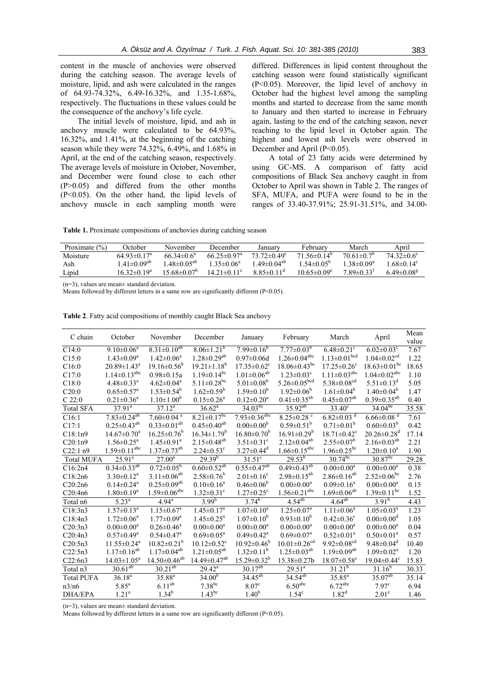content in the muscle of anchovies were observed during the catching season. The average levels of moisture, lipid, and ash were calculated in the ranges of 64.93-74.32%, 6.49-16.32%, and 1.35-1.68%, respectively. The fluctuations in these values could be the consequence of the anchovy's life cycle.

The initial levels of moisture, lipid, and ash in anchovy muscle were calculated to be 64.93%, 16.32%, and 1.41%, at the beginning of the catching season while they were 74.32%, 6.49%, and 1.68% in April, at the end of the catching season, respectively. The average levels of moisture in October, November, and December were found close to each other (P>0.05) and differed from the other months (P<0.05). On the other hand, the lipid levels of anchovy muscle in each sampling month were

differed. Differences in lipid content throughout the catching season were found statistically significant (P<0.05). Moreover, the lipid level of anchovy in October had the highest level among the sampling months and started to decrease from the same month to January and then started to increase in February again, lasting to the end of the catching season, never reaching to the lipid level in October again. The highest and lowest ash levels were observed in December and April (P<0.05).

A total of 23 fatty acids were determined by using GC-MS. A comparison of fatty acid compositions of Black Sea anchovy caught in from October to April was shown in Table 2. The ranges of SFA, MUFA, and PUFA were found to be in the ranges of 33.40-37.91%; 25.91-31.51%, and 34.00-

**Table 1.** Proximate compositions of anchovies during catching season

| Proximate $(\% )$ | October                       | November                     | December                    | Januarv                       | February                | March                        | April                    |
|-------------------|-------------------------------|------------------------------|-----------------------------|-------------------------------|-------------------------|------------------------------|--------------------------|
| Moisture          | $64.93\pm0.17^{\text{a}}$     | 66 34 $\pm$ 0 6 <sup>a</sup> | 66 $25\pm0.97$ <sup>a</sup> | 73 72 $\pm$ 0 49 <sup>c</sup> | $71.56\pm0.14^{\circ}$  | $70.61 \pm 0.7^b$            | $74.32\pm0.6^{\circ}$    |
| Ash               | 1 41 $\pm$ 0 09 $^{\rm ab}$   | $48 \pm 0.05^{ab}$           | $135 \pm 0.06^a$            | $1.49 \pm 0.04^{ab}$          | $1.54 \pm 0.05^{\circ}$ | $1.38 \pm 0.09^a$            | $1.68 \pm 0.14^c$        |
| Lipid             | 16 32 $\pm$ 0 19 <sup>a</sup> | 15 68±0 07°                  | $14.21 \pm 0.11$ °          | $8.85\pm0.11$ <sup>d</sup>    | $10.65 \pm 0.09^e$      | $7.89 \pm 0.33$ <sup>t</sup> | 6.49 $\pm$ 0.08 $\rm{8}$ |
|                   |                               |                              |                             |                               |                         |                              |                          |

(n=3), values are mean± standard deviation.

Means followed by different letters in a same row are significantly different  $(P<0.05)$ .

| C chain           | October                        | November                       | December                       | January                       | February                       | March                          | April                          | Mean<br>value |
|-------------------|--------------------------------|--------------------------------|--------------------------------|-------------------------------|--------------------------------|--------------------------------|--------------------------------|---------------|
| C14:0             | $9.10 \pm 0.06^a$              | $8.31 \pm 0.10^{ab}$           | $8.06 \pm 1.21$ <sup>b</sup>   | $7.99 \pm 0.16^b$             | $7.77\pm0.03^{b}$              | $6.48 \pm 0.21$ <sup>c</sup>   | $6.02 \pm 0.03$ <sup>c</sup>   | 7.67          |
| C15:0             | $1.43 \pm 0.09^a$              | $1.42 \pm 0.06^a$              | $1.28 \pm 0.29^{ab}$           | $0.97 \pm 0.06d$              | $1.26 \pm 0.04$ <sup>abc</sup> | $1.13 \pm 0.01$ <sup>bcd</sup> | $1.04 \pm 0.02$ <sup>cd</sup>  | 1.22          |
| C16:0             | $20.89 \pm 1.43^{\circ}$       | $19.16 \pm 0.56^b$             | $19.21 \pm 1.18^b$             | $17.35 \pm 0.62$ <sup>c</sup> | $18.06\pm0.43^{bc}$            | $17.25 \pm 0.26$ <sup>c</sup>  | $18.63 \pm 0.01$ bc            | 18.65         |
| C17:0             | $1.14 \pm 0.13$ <sup>abc</sup> | $0.98 \pm 0.15a$               | $1.19 \pm 0.14$ <sup>bc</sup>  | $1.01 \pm 0.06^{ab}$          | $1.23 \pm 0.03^c$              | $1.11 \pm 0.03$ <sup>abc</sup> | $1.04 \pm 0.02$ <sup>abc</sup> | 1.10          |
| C18:0             | $4.48 \pm 0.33$ <sup>a</sup>   | $4.62 \pm 0.04$ <sup>a</sup>   | $5.11 \pm 0.28$ <sup>bc</sup>  | 5.01 $\pm$ 0.08 <sup>b</sup>  | $5.26 \pm 0.05^{bcd}$          | 5.38 $\pm$ 0.08 <sup>cd</sup>  | $5.51 \pm 0.13$ <sup>d</sup>   | 5.05          |
| C20:0             | $0.65 \pm 0.57$ <sup>a</sup>   | $1.53 \pm 0.54^b$              | $1.62 \pm 0.59^b$              | $1.59 \pm 0.10^b$             | $1.92 \pm 0.06^b$              | $1.61 \pm 0.04^b$              | $1.40 \pm 0.04^b$              | 1.47          |
| C22:0             | $0.21 \pm 0.36^a$              | $1.10 \pm 1.00^b$              | $0.15 \pm 0.26^a$              | $0.12 \pm 0.20^a$             | $0.41 \pm 0.35^{ab}$           | $0.45 \pm 0.07$ <sup>ab</sup>  | $0.39 \pm 0.35^{ab}$           | 0.40          |
| <b>Total SFA</b>  | $37.91^{\circ}$                | $37.12^a$                      | $36.62^a$                      | $34.03^{bc}$                  | $35.92^{ab}$                   | $3\overline{3.40^c}$           | $34.04^{bc}$                   | 35.58         |
| C16:1             | $7.83 \pm 0.24^{ab}$           | $7.60 \pm 0.04$ <sup>a</sup>   | $8.21 \pm 0.17$ <sup>bc</sup>  | $7.93 \pm 0.36^{abc}$         | $8.25 \pm 0.28$ <sup>c</sup>   | $6.82 \pm 0.03$ <sup>d</sup>   | $6.66 \pm 0.08$ <sup>d</sup>   | 7.61          |
| C17:1             | $0.25 \pm 0.43^{ab}$           | $0.33 \pm 0.01^{ab}$           | $0.45 \pm 0.40^{ab}$           | $0.00 \pm 0.00^b$             | $0.59 \pm 0.51^b$              | $0.71 \pm 0.01^b$              | $0.60 \pm 0.03^b$              | 0.42          |
| C18:1n9           | $14.67 \pm 0.70^a$             | $16.25 \pm 0.76^b$             | $16.34 \pm 1.79^b$             | $16.80 \pm 0.70^b$            | $16.91 \pm 0.29^b$             | $18.71 \pm 0.42$ <sup>c</sup>  | $20.26 \pm 0.28$ <sup>d</sup>  | 17.14         |
| C20:1n9           | $1.56 \pm 0.25^{\text{a}}$     | $1.45 \pm 0.91$ <sup>a</sup>   | $2.15 \pm 0.48^{ab}$           | $3.51 \pm 0.31$ <sup>c</sup>  | $2.12 \pm 0.04^{ab}$           | $2.55 \pm 0.07^b$              | $2.16 \pm 0.03^{ab}$           | 2.21          |
| C22:1 n9          | $1.59 \pm 0.11$ <sup>abc</sup> | $1.37 \pm 0.73$ <sup>ab</sup>  | $2.24 \pm 0.53$ °              | $3.27\pm0.44^{\rm d}$         | $1.66 \pm 0.15$ <sup>abc</sup> | $1.96 \pm 0.25$ <sup>bc</sup>  | $1.20 \pm 0.10^a$              | 1.90          |
| <b>Total MUFA</b> | $25.91^{a}$                    | $27.00^{a}$                    | $29.39^{b}$                    | $31.51^c$                     | $29.53^{b}$                    | $30.74^{bc}$                   | $30.87^{bc}$                   | 29.28         |
| C16:2n4           | $0.34 \pm 0.33^{ab}$           | $0.72 \pm 0.05^b$              | $0.60 \pm 0.52^{ab}$           | $0.55 \pm 0.47^{ab}$          | $0.49 \pm 0.43^{ab}$           | $0.00 \pm 0.00^a$              | $0.00 \pm 0.00^a$              | 0.38          |
| C18:2n6           | $3.30 \pm 0.12$ <sup>a</sup>   | $3.11 \pm 0.06^{ab}$           | $2.58 \pm 0.76^b$              | $2.01 \pm 0.16$ <sup>c</sup>  | $2.98 \pm 0.15^{ab}$           | $2.86 \pm 0.16^{ab}$           | $2.52 \pm 0.06^{bc}$           | 2.76          |
| C20:2n6           | $0.14 \pm 0.24$ <sup>a</sup>   | $0.25 \pm 0.09^{ab}$           | $0.10 \pm 0.16^a$              | $0.46 \pm 0.06^b$             | $0.00 \pm 0.00^a$              | $0.09 \pm 0.16^a$              | $0.00 \pm 0.00^a$              | 0.15          |
| C20:4n6           | $1.80 \pm 0.19^a$              | $1.59 \pm 0.06$ <sup>abc</sup> | $1.32 \pm 0.31$ <sup>c</sup>   | $1.27 \pm 0.25$ <sup>c</sup>  | $1.56 \pm 0.21$ <sup>abc</sup> | $1.69 \pm 0.06^{ab}$           | $1.39 \pm 0.11$ <sup>bc</sup>  | 1.52          |
| Total n6          | $5.23^{a}$                     | $4.94^{\circ}$                 | $3.99^{b}$                     | $3.74^{b}$                    | $4.54^{ab}$                    | $4.64^{ab}$                    | $3.91^{b}$                     | 4.43          |
| C18:3n3           | $1.57 \pm 0.13^a$              | $1.15 \pm 0.67$ <sup>a</sup>   | $1.45 \pm 0.17$ <sup>a</sup>   | $1.07 \pm 0.10^a$             | $1.25 \pm 0.07^a$              | $1.11 \pm 0.06^a$              | $1.05 \pm 0.03^{\text{a}}$     | 1.23          |
| C18:4n3           | $1.72 \pm 0.06^a$              | $1.77 \pm 0.09^{\mathrm{a}}$   | $1.45 \pm 0.25$ <sup>a</sup>   | $1.07 \pm 0.10^b$             | $0.93 \pm 0.10^b$              | $0.42 \pm 0.36$ <sup>c</sup>   | $0.00 \pm 0.00$ <sup>d</sup>   | 1.05          |
| C20:3n3           | $0.00 \pm 0.00^a$              | $0.26 \pm 0.46^a$              | $0.00 \pm 0.00^a$              | $0.00 \pm 0.00^a$             | $0.00 \pm 0.00^a$              | $0.00 \pm 0.00^a$              | $0.00 \pm 0.00^a$              | 0.04          |
| C20:4n3           | $0.57 \pm 0.49$ <sup>a</sup>   | $0.54 \pm 0.47$ <sup>a</sup>   | $0.69 \pm 0.05^a$              | $0.49 \pm 0.42$ <sup>a</sup>  | $0.69 \pm 0.07$ <sup>a</sup>   | $0.52 \pm 0.01^a$              | $0.50 \pm 0.01^a$              | 0.57          |
| C20:5n3           | $11.55 \pm 0.24$ <sup>a</sup>  | $10.82 \pm 0.21^b$             | $10.12 \pm 0.52$ <sup>c</sup>  | $10.92 \pm 0.46^b$            | $10.01 \pm 0.26$ <sup>cd</sup> | $9.92 \pm 0.08$ <sup>cd</sup>  | $9.48 \pm 0.04$ <sup>d</sup>   | 10.40         |
| C22:5n3           | $1.17 \pm 0.16^{ab}$           | $1.17 \pm 0.04^{ab}$           | $1.21 \pm 0.05^{ab}$           | $1.32\pm0.11^{b}$             | $1.25 \pm 0.03^{ab}$           | $1.19 \pm 0.09^{ab}$           | $1.09 \pm 0.02^a$              | 1.20          |
| C22:6n3           | $14.03 \pm 1.05^a$             | $14.50 \pm 0.46^{ab}$          | $14.49 \pm 0.47$ <sup>ab</sup> | $15.29 \pm 0.32^b$            | $15.38 \pm 0.27$ b             | $18.07 \pm 0.58$ <sup>c</sup>  | $19.04 \pm 0.44$ <sup>c</sup>  | 15.83         |
| Total n3          | $30.61^{ab}$                   | $30.21^{ab}$                   | $29.42^{a}$                    | $30.17^{ab}$                  | $29.51^{a}$                    | $31.21^{b}$                    | $31.\overline{16}^{b}$         | 30.33         |
| <b>Total PUFA</b> | $36.18^{a}$                    | $35.88^{a}$                    | $34.00^{b}$                    | $34.45^{ab}$                  | $34.54^{ab}$                   | $35.85^{\rm a}$                | $35.07^{ab}$                   | 35.14         |
| n3/n6             | $5.85^{\rm a}$                 | $6.11^{ab}$                    | $7.38^{bc}$                    | 8.07 <sup>c</sup>             | 6.50 <sup>abc</sup>            | $6.72$ <sup>abc</sup>          | 7.97 <sup>c</sup>              | 6.94          |
| DHA/EPA           | $1.21^{\rm a}$                 | $1.34^{b}$                     | $1.43^{bc}$                    | $1.40^{b}$                    | $1.54^{\circ}$                 | $1.82^d$                       | $2.01^e$                       | 1.46          |

**Table 2**. Fatty acid compositions of monthly caught Black Sea anchovy

 $(n=3)$ , values are mean $\pm$  standard deviation.

Means followed by different letters in a same row are significantly different (P<0.05).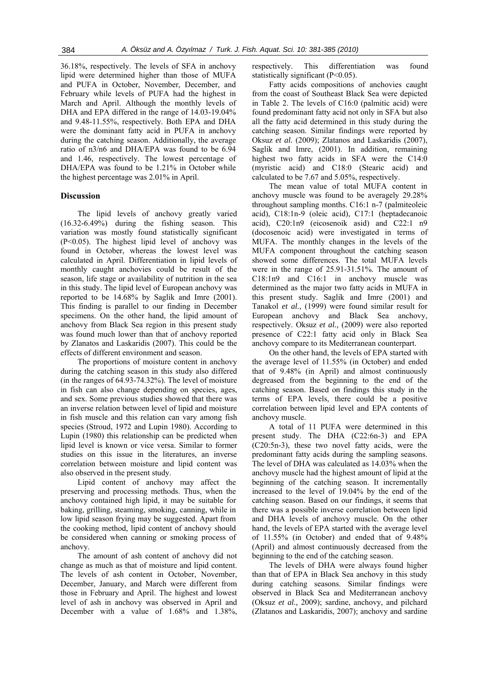36.18%, respectively. The levels of SFA in anchovy lipid were determined higher than those of MUFA and PUFA in October, November, December, and February while levels of PUFA had the highest in March and April. Although the monthly levels of DHA and EPA differed in the range of 14.03-19.04% and 9.48-11.55%, respectively. Both EPA and DHA were the dominant fatty acid in PUFA in anchovy during the catching season. Additionally, the average ratio of n3/n6 and DHA/EPA was found to be 6.94 and 1.46, respectively. The lowest percentage of DHA/EPA was found to be 1.21% in October while the highest percentage was 2.01% in April.

### **Discussion**

The lipid levels of anchovy greatly varied (16.32-6.49%) during the fishing season. This variation was mostly found statistically significant (P<0.05). The highest lipid level of anchovy was found in October, whereas the lowest level was calculated in April. Differentiation in lipid levels of monthly caught anchovies could be result of the season, life stage or availability of nutrition in the sea in this study. The lipid level of European anchovy was reported to be 14.68% by Saglik and Imre (2001). This finding is parallel to our finding in December specimens. On the other hand, the lipid amount of anchovy from Black Sea region in this present study was found much lower than that of anchovy reported by Zlanatos and Laskaridis (2007). This could be the effects of different environment and season.

The proportions of moisture content in anchovy during the catching season in this study also differed (in the ranges of 64.93-74.32%). The level of moisture in fish can also change depending on species, ages, and sex. Some previous studies showed that there was an inverse relation between level of lipid and moisture in fish muscle and this relation can vary among fish species (Stroud, 1972 and Lupin 1980). According to Lupin (1980) this relationship can be predicted when lipid level is known or vice versa. Similar to former studies on this issue in the literatures, an inverse correlation between moisture and lipid content was also observed in the present study.

Lipid content of anchovy may affect the preserving and processing methods. Thus, when the anchovy contained high lipid, it may be suitable for baking, grilling, steaming, smoking, canning, while in low lipid season frying may be suggested. Apart from the cooking method, lipid content of anchovy should be considered when canning or smoking process of anchovy.

The amount of ash content of anchovy did not change as much as that of moisture and lipid content. The levels of ash content in October, November, December, January, and March were different from those in February and April. The highest and lowest level of ash in anchovy was observed in April and December with a value of 1.68% and 1.38%,

respectively. This differentiation was found statistically significant (P<0.05).

Fatty acids compositions of anchovies caught from the coast of Southeast Black Sea were depicted in Table 2. The levels of C16:0 (palmitic acid) were found predominant fatty acid not only in SFA but also all the fatty acid determined in this study during the catching season. Similar findings were reported by Oksuz *et al.* (2009); Zlatanos and Laskaridis (2007), Saglik and Imre, (2001). In addition, remaining highest two fatty acids in SFA were the C14:0 (myristic acid) and C18:0 (Stearic acid) and calculated to be 7.67 and 5.05%, respectively.

The mean value of total MUFA content in anchovy muscle was found to be averagely 29.28% throughout sampling months. C16:1 n-7 (palmiteoleic acid), C18:1n-9 (oleic acid), C17:1 (heptadecanoic acid), C20:1n9 (eicosenoik asid) and C22:1 n9 (docosenoic acid) were investigated in terms of MUFA. The monthly changes in the levels of the MUFA component throughout the catching season showed some differences. The total MUFA levels were in the range of 25.91-31.51%. The amount of C18:1n9 and C16:1 in anchovy muscle was determined as the major two fatty acids in MUFA in this present study. Saglik and Imre (2001) and Tanakol *et al.,* (1999) were found similar result for European anchovy and Black Sea anchovy, respectively. Oksuz *et al.,* (2009) were also reported presence of C22:1 fatty acid only in Black Sea anchovy compare to its Mediterranean counterpart.

On the other hand, the levels of EPA started with the average level of 11.55% (in October) and ended that of 9.48% (in April) and almost continuously degreased from the beginning to the end of the catching season. Based on findings this study in the terms of EPA levels, there could be a positive correlation between lipid level and EPA contents of anchovy muscle.

A total of 11 PUFA were determined in this present study. The DHA (C22:6n-3) and EPA (C20:5n-3), these two novel fatty acids, were the predominant fatty acids during the sampling seasons. The level of DHA was calculated as 14.03% when the anchovy muscle had the highest amount of lipid at the beginning of the catching season. It incrementally increased to the level of 19.04% by the end of the catching season. Based on our findings, it seems that there was a possible inverse correlation between lipid and DHA levels of anchovy muscle. On the other hand, the levels of EPA started with the average level of 11.55% (in October) and ended that of 9.48% (April) and almost continuously decreased from the beginning to the end of the catching season.

The levels of DHA were always found higher than that of EPA in Black Sea anchovy in this study during catching seasons. Similar findings were observed in Black Sea and Mediterranean anchovy (Oksuz *et al.,* 2009); sardine, anchovy, and pilchard (Zlatanos and Laskaridis, 2007); anchovy and sardine